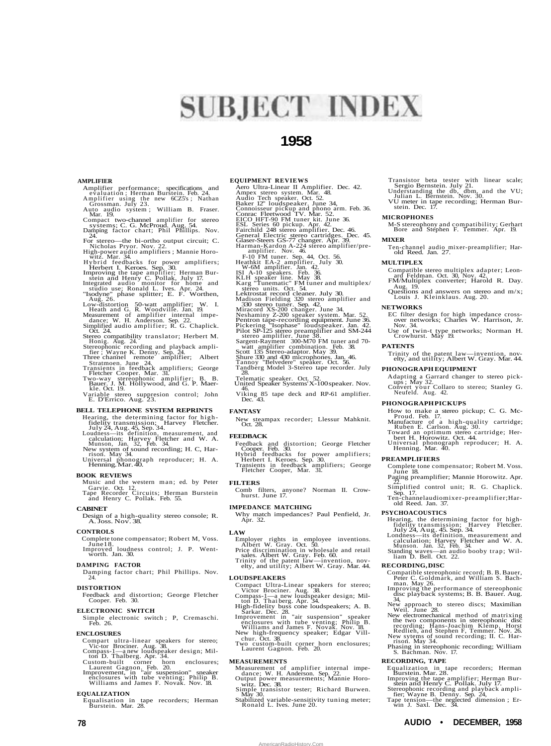# **SUBJECT INDEX**

## **1958**

#### **AMPLIFIER**

- 
- Amplifier performance: specifications and<br>
evaluation ; Herman Burstein. Feb. 24.<br>
Amplifier using the new 6CZ5's ; Nathan<br>
Grossman. July 23.<br>
Auto audio system ; William B. Fraser.<br>
Alar. 19.
- Compact two-channel amplifier for stereo systems; C. G. McProud. Aug. 54. Damping factor chart; Phil Phillips. Nov.
- 
- 24. For stereo—the bi-ortho output circuit; C. Nicholas Pryor. Nov. 22. High-power audio amplifiers ; Mannie Horo-witz. Mar. 34. Hybrid feedbacks for power amplifiers;
- 
- Herbert I. Keroes. Sep. 30.<br>Improving the tape amplifier; Herman Burstein and Henry C. Pollak, July 17.<br>Integrated audio monitor for home and<br>studio use; Ronald L. Ives. Apr. 24.<br>"Isodyne" phase splitter; E. F. Worthen,<br>Au
- 
- 
- Low-distortion 50-watt amplifier; W. I.<br>
Heath and G. R. Woodville. Jan. 19.<br>
Measurement of amplifier internal impe-<br>
dance; W. H. Anderson. Sep. 22.<br>
Simplified audio amplifier; R. G. Chaplick.<br>
Oct. 24.
- 
- Stereo compatibility translator; Herbert M. Honig. Aug. 24. Stereophonic recording and playback ampli-fier ; Wayne K. Denny. Sep. 24. Three channel remote amplifier; Albert
- 
- 
- Stratmoen. June 24.<br>Transients in feedback amplifiers; George<br>Fletcher Cooper. Mar. 31.<br>Two-way stereophonic amplifier; B. B.<br>Bauer. J. M. Hollywood, and G. P. Maer-<br>Lie. Oct. 19.
- Variable stereo suppresion control; John E. D'Errico. Aug. 23.

## **BELL TELEPHONE SYSTEM REPRINTS**

- 
- Hearing, the determining factor for high-<br>fidelity transmission; Harvey Fletcher.<br>July 24, Aug. 45, Sep. 34.<br>Loudness—its definition, measurement, and<br>calculation; Harvey Fletcher and W. A.<br>Munson, Jan. 32, Feb. 34.<br>New sy
- 

### **BOOK REVIEWS**

Music and the western man; ed. by Peter Garvie. Oct. 12. Tape Recorder Circuits; Herman Burstein and Henry C. Pollak. Feb. 55.

#### **CABINET**

Design of a high-quality stereo console; R. A. Joss. Nov. 38.

#### **CONTROLS**

Complete tone compensator; Robert M, Voss. June 18. Improved loudness control; J. P. Went-worth. Jan. 30.

#### **DAMPING FACTOR**

Damping factor chart; Phil Phillips. Nov. 24.

#### **DISTORTION**

Feedback and distortion; George Fletcher Cooper. Feb. 30.

### **ELECTRONIC SWITCH**

Simple electronic switch ; P, Cremaschi. Feb. 26.

#### **ENCLOSURES**

- Compart ultra-linear speakers for stereo;<br>Vic-tor Brociner. Aug. 38.<br>Compass-1—anew loudspeaker design; Mil-<br>ton D. Thalberg. Apr. 34.<br>Custom-built corner horn enclosures;<br>Laurent Gagnon. Feb. 20.<br>Improvement, in "air susp
- 
- 

## **EQUALIZATION**

Equalisation in tape recorders; Herman Burstein. Mar. 28.

- 
- 
- 
- 
- 
- 
- 
- 
- 
- 
- 
- 
- 
- 
- **EQUIPMENT REVIEWS**<br>Acro Ultra-Linear II Amplifier. Dec. 42.<br>Ampex stereo system. Mar. 48.<br>Audio Tech speaker. Oct. 52.<br>Baker 12" loudspeaker. June 34,<br>Connoisseur pickup and phono arm. Feb. 36.<br>ECOOHFT-90 FM tuner kit. J
- 
- 
- 
- 
- 
- 
- 
- 
- Telematic speaker. Oct. 52.<br>United Speaker Systems' X-100 speaker. Nov.
- 46. Viking 85 tape deck and RP-61 amplifier. Dec. 43.

#### **FANTASY**

New steampax recorder; Llessur Mahknit. Oct. 28.

#### **FEEDBACK**

- 
- Feedback and distortion; George Fletcher Cooper. Feb. 30. Hybrid feedbacks for power amplifiers; Herbert I. Keroes. Sep. 30. Transients in feedback amplifiers; George Fletcher Cooper, Mar. 31.
- 
- **FILTERS**
	- Comb filters, anyone? Norman II. Crow-hurst. June 17.

#### **IMPEDANCE MATCHING**

Why match impedances? Paul Penfield, Jr. Apr. 32.

## **LAW**

- Employer rights in employee inventions.<br>Albert W. Gray. Oct. 50.<br>Price discrimination in wholesale and retail<br>sales. Albert W. Gray. Feb. 60.<br>Trinity of the patent law—invention, nov-<br>elty, and utility; Albert W. Gray. Mar
	-

- 
- 
- LOUDSPEAKERS<br>
Compact Ultra-Linear speakers for stereo;<br>
Compact Ultra-Linear speakers for stereo;<br>
Victor Brociner. Aug. 38.<br>
Compass-1—a new loudspeaker design; Mil-<br>
tion D. Thai berg. Apr. 34.<br>
High-ridelity buss cone
- 
- 

#### **MEASUREMENTS**

- Measurement of amplifier internal impe-<br>dance; W. H. Anderson. Sep. 22.<br>Output power measurements; Mannie Horo-<br>witz. Dec. 38.<br>Simple transistor tester; Richard Burwen.
- 
- May 30. Stabilized variable-sensitivity tuning meter; Ronald L. Ives. June 20.

**78 AUDIO • DECEMBER, 1958**

AmericanRadioHistory.Com

- 
- Transistor beta tester with linear scale; Sergio Bernstein. July 21. Understanding the db, dbm, and the VU; Julian L. Bernstein. Nov. 30. VU meter in tape recording; Herman Bur-stein. Dec. 17.

#### **MICROPHONES**

M-S stereophony and compatibility; Gerhart Bore and Stephen F. Temmer. Apr. 19.

#### **MIXER**

Ten-channel audio mixer-preamplifier; Har-old Reed. Jan. 27.

#### **MULTIPLEX**

**NETWORKS**

**PATENTS**

Compatible stereo multiplex adapter; Leon-ard Feldman. Oct. 30, Nov. 42. FM/Multiplex converter; Harold R. Day. Aug. 19. Questions and answers on stereo and m/x; Louis J. Kleinklaus. Aug. 20.

EC filter design for high impedance cross-over networks; Charles W. Harrison, Jr. Nov. 34. Use of twin-t type networks; Norman H. Crowhurst. May 19.

Trinity of the patent law—invention, novelty, and utility; Albert W. Gray. Mar. 44.

Adapting a Garrard changer to stereo pickups ; May 32. Convert your Collaro to stereo; Stanley G. Neufeld. Aug. 42.

How to make a stereo pickup; C. G. Mc-<br>Proud. Feb. 17.<br>Manufacture of a high-quality cartridge;<br>Ruben E. Carlson. Aug. 30.<br>Toward an optimum stereo cartridge; Her-<br>bert H. Horowitz. Oct. 44.<br>Universal phonograph reproducer

Complete tone compensator; Robert M. Voss.

Paging preamplifier; Mannie Horowitz. Apr. 22. Simplified control unit; R. G. Chaplick. Sep. 17. Ten-channel audio mixer-preamplifier; Har-

Hearing, the determining factor for high-<br>fidelity transmission; Harvey Fletcher.<br>July 24, Aug. 45. Sep. 34.<br>Londness—its definition, measurement and<br>calculation; Harvey Fletcher and W. A.<br>Munson. Jan. 32, Feb. 34.<br>Standin

Compatible stereophonic record; B. B. Bauer, Peter C. Goldmark, and William S. Bach-man. May 26. Improving the performance of stereophonic disc playback systems; B. B. Bauer. Aug.

34, New approach to stereo discs; Maximilian Weil. June 28.

New electromechanical method of matrixing<br>the two components in stereophonic disc<br>recording; Hans-Joachim Klemp, Horst<br>Redlieh, and Stephen F, Temmer. Nov. 26.<br>New sytems of sound recording; II. C. Har-<br>Phasing in stereoph

Equalization in tape recorders; Herman<br>Burstein. Mar. 28.<br>Improving the tape amplifier; Herman Bur-<br>stein and Henry C. Pollak. July 17.<br>Stereophonic recording and playback ampli-<br>fier; Wayne B. Denny. Sep. 24,<br>win J. Saxl.

**PHONOGRAPH EQUIPMENT**

**PHONOGRAPH PICKUPS**

**PREAMPLIFIERS**

old Reed. Jan. 37. **PSYCHOACOUSTICS**

**RECORDING, DISC**

**RECORDING, TAPE**

June 18.